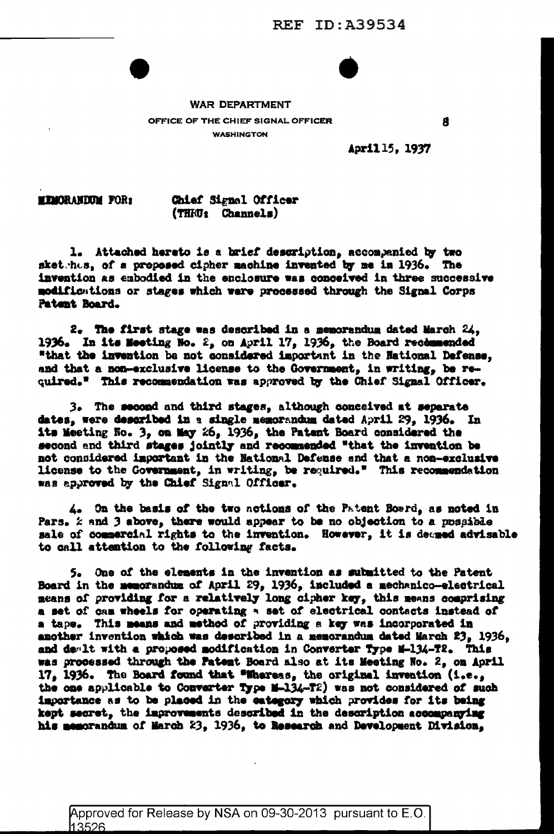

## **WAR DEPARTMENT**

OFFICE OF THE CHIEF SIGNAL OFFICER **WASHINGTON** 

8

April 15, 1937

**MEMORANDUM FOR:** 

Chief Signal Officer (THRU: Channels)

1. Attached hereto is a brief description, accompanied by two sket has, of a proposed cipher machine invented by me in 1936. The invention as embodied in the enclosure was conceived in three successive modifications or stages which were processed through the Signal Corps Patent Board.

2. The first stage was described in a memorandum dated March 24. 1936. In its Meeting No. 2, on April 17, 1936, the Board recommended "that the invention be not considered important in the National Defense, and that a non-exclusive license to the Government, in writing, be required." This recommendation was approved by the Chief Signal Officer.

3. The second and third stages, although conceived at separate dates, were described in a single memorandum dated April 29, 1936. In its Meeting No. 3, on May 26, 1936, the Patent Board considered the second and third stages jointly and recommended "that the invention be not considered important in the National Defense and that a non-exclusive license to the Government, in writing, be required." This recommendation was approved by the Chief Signal Officer.

4. On the basis of the two actions of the Patent Bosrd, as noted in Pars, *k* and 3 above, there would appear to be no objection to a possible sale of commercial rights to the invention. However, it is deemed advisable to call attention to the following facts.

5. One of the elements in the invention as submitted to the Patent Board in the memorandum of April 29, 1936, included a mechanico-electrical means of providing for a relatively long cipher key, this means comprising a set of can wheels for operating a set of electrical contacts instead of a tape. This means and method of providing a key was incorporated in another invention which was described in a memorandum dated March 23, 1936, and dealt with a proposed modification in Converter Type M-134-T2. This was processed through the Patent Board also at its Meeting No. 2, on April 17, 1936. The Board found that "Whereas, the original invention (i.e., the one applicable to Converter Type M-134-T2) was not considered of such importance as to be placed in the eatogory which provides for its being kept secret, the improvements described in the description accompanying his memorandum of March 23, 1936, to Research and Development Division,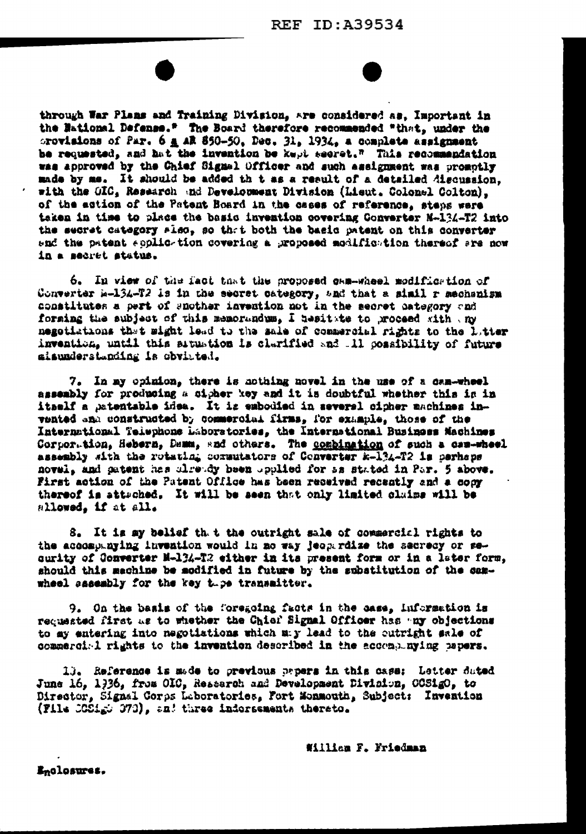through War Plans and Training Division, are considered as, Important in the National Defense." The Board therefore recommended "that, under the provisions of Par. 6 a AR 850-50, Dec. 31, 1934, a complete assignment be requested, and hat the invention be kept secret." This recommendation was approved by the Chief Signal Officer and such assignment was promotly made by me. It should be added th t as a result of a detailed discussion. with the GIC. Research and Development Division (Lieut. Colonel Colton). of the action of the Patent Board in the cases of reference, steps were taken in time to place the basic invention covering Converter N-134-T2 into the secret category slso, so that both the basic patent on this converter and the patent coplic-tion covering a proposed modific-tion thereof are now in a sacret status.

6. In view of the fact that the proposed cam-wheel modification of Converter k-134-T2 is in the secret category, and that a simil r mechanism constitutes a pert of snother invention not in the secret category and forsing the subject of this memorandum, I besitate to proceed with my negotiations that might lead to the sale of commercial rights to the latter invention, until this situation is clarified and .11 cossibility of future aisunderstanding is obvioted.

7. In my chimion, there is nothing novel in the use of a cam-wheel assembly for producing a cipher key and it is doubtful whether this is in itself a patentable idea. It is embodied in several cipher machines invented and constructed by commercial firms, for example, those of the International Telephone Laboratories, the International Business Machines Corportion, Hebern, Dema, and others. The combination of such a can-wheel assembly sith the rotating cornutators of Converter k-134-T2 is perhaps novel, and patent has already been upplied for as stated in Par. 5 above. First action of the Patent Office has been received recently and a copy thereof is attached. It will be seen that only limited claims will be allowed, if at all.

8. It is my belief th. t the outright sale of commercial rights to the accompanying invention would in no way jeoperdize the secrecy or security of Converter M-134-T2 either in its present form or in a later form, should this machine be modified in future by the substitution of the camwheel sasembly for the key these transmitter.

9. On the basis of the foregoing facts in the case, information is requested first as to whether the Chief Signal Officer has ary objections to my entering into negotiations which my lead to the cutright sale of commercial rights to the invention described in the accompanying papers.

13. Reference is made to previous papers in this case: Letter duted June 16. 1936. from OIC, Restarch and Development Division. COSigO. to Director, Signal Corps Leboratories, Fort Monmouth, Subject: Invention (File COSigo 373), and three indorsements thereto.

William F. Friedman

Enclosures.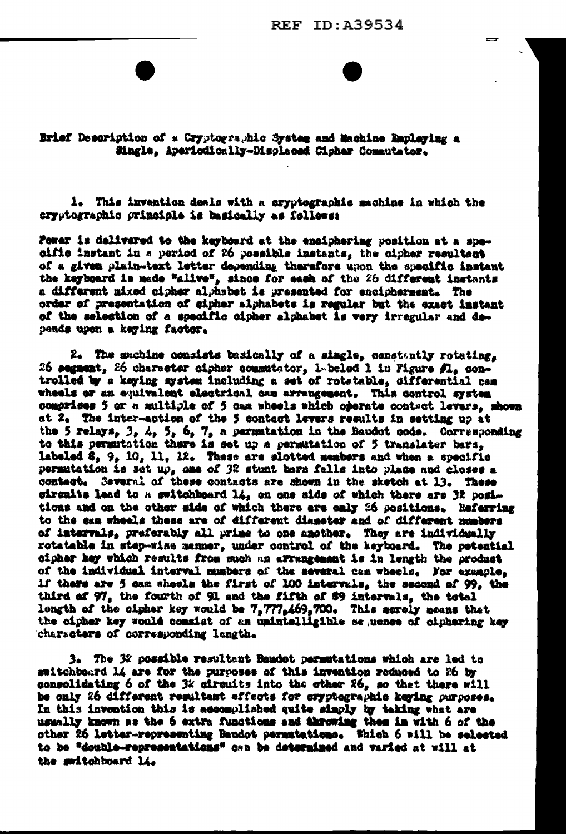Brief Description of a Cryptographic System and Machine Employing a Single, Aperiodically-Displaced Cipher Commutator.

1. This invention deals with a cryptographic machine in which the cryptographic principle is basically as follows:

Fower is delivered to the keyboard at the enciphering position at a specific instant in a period of 26 possible instants, the cipher resultant of a given plain-text letter depending therefore upon the specific instant the keyboard is made "alive", since for each of the 26 different instants a different mixed cipher alphabet is presented for encipherment. The order of presentation of eipher alphabets is regular but the exact instant of the selection of a specific cipher alphabet is very irregular and depends upon a keying factor.

2. The sachine consists basionlly of a single, constantly rotating, 26 segment, 26 character cipher commutator, 1 beled 1 in Figure fl. controlled by a keying system including a set of rotatable, differential cam wheels or an equivalent electrical can arrangement. This control system comprises 5 or a multiple of 5 cam wheels which operate contact levers, shown at 2. The inter-action of the 5 contact levers results in setting up at the 5 relays,  $3, 4, 5, 6, 7, a permutation in the Baudot code. Corresponding$ to this permutation there is set up a permutation of 5 translater bars, labeled 8, 9, 10, 11, 12. These are slotted members and when a specific permutation is set up, one of 32 stunt bars falls into place and closes a contact. Several of these contacts are shown in the sketch at 13. These circuits lead to a switchboard 14, on one side of which there are 32 positions and on the other side of which there are only 26 positions. Referring to the can wheels these are of different diameter and of different numbers of intervals, preferably all prime to one another. They are individually rotatable in step-wise manner, under control of the keyboard. The petential cipher key which results from such an arrangement is in length the product of the individual interval musbers of the several can wheels. For example. if there are 5 cam wheels the first of 100 intervals, the second of 99, the third of 97, the fourth of 91 and the fifth of 89 intervals, the total length of the cipher key would be 7,777,469,700. This merely means that the cipher key would consist of an unintalligible sepence of ciphering key characters of corresponding langth.

3. The 32 possible resultant Bandot permutations which are led to switchboard 14 are for the purposes of this invention reduced to 26 by consolidating 6 of the 3% circuits into the other 26, so that there will be only 26 different resultant effects for eryptographic keying purposes. In this invention this is accomplished quite simply by taking what are usually known as the 6 extra functions and throwing them in with 6 of the other 26 letter-representing Baudot permutations. Which 6 will be selected to be "double-representations" can be determined and varied at will at the switchboard li.